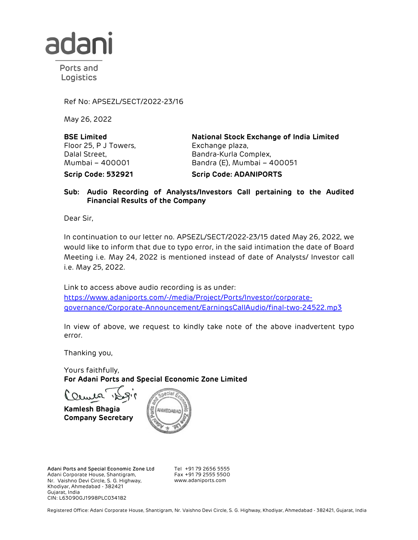

Ports and Logistics

Ref No: APSEZL/SECT/2022-23/16

May 26, 2022

BSE Limited Floor 25, P J Towers, Dalal Street, Mumbai – 400001

National Stock Exchange of India Limited Exchange plaza, Bandra-Kurla Complex, Bandra (E), Mumbai – 400051 Scrip Code: 532921 Scrip Code: ADANIPORTS

## Sub: Audio Recording of Analysts/Investors Call pertaining to the Audited Financial Results of the Company

Dear Sir,

In continuation to our letter no. APSEZL/SECT/2022-23/15 dated May 26, 2022, we would like to inform that due to typo error, in the said intimation the date of Board Meeting i.e. May 24, 2022 is mentioned instead of date of Analysts/ Investor call i.e. May 25, 2022.

Link to access above audio recording is as under: https://www.adaniports.com/-/media/Project/Ports/Investor/corporategovernance/Corporate-Announcement/EarningsCallAudio/final-two-24522.mp3

In view of above, we request to kindly take note of the above inadvertent typo error.

Thanking you,

Yours faithfully, For Adani Ports and Special Economic Zone Limited

Kamlesh Bhagia Company Secretary



Adani Ports and Special Economic Zone Ltd Adani Corporate House, Shantigram, Nr. Vaishno Devi Circle, S. G. Highway, Khodiyar, Ahmedabad - 382421 Gujarat, India CIN: L63090GJ1998PLC034182

Tel +91 79 2656 5555 Fax +91 79 2555 5500 www.adaniports.com